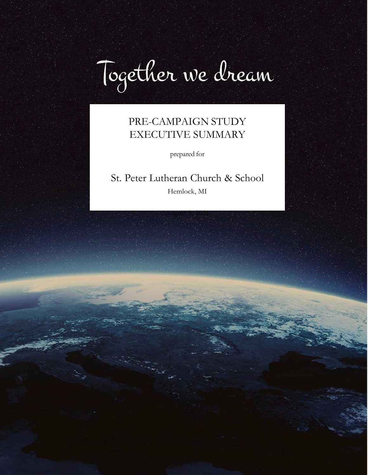

# PRE-CAMPAIGN STUDY EXECUTIVE SUMMARY

prepared for

# St. Peter Lutheran Church & School

Hemlock, MI

August 9, 2021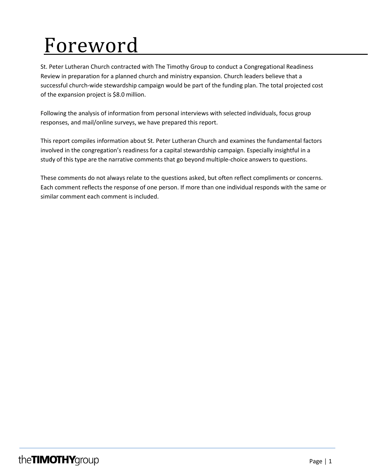# Foreword

St. Peter Lutheran Church contracted with The Timothy Group to conduct a Congregational Readiness Review in preparation for a planned church and ministry expansion. Church leaders believe that a successful church-wide stewardship campaign would be part of the funding plan. The total projected cost of the expansion project is \$8.0 million.

Following the analysis of information from personal interviews with selected individuals, focus group responses, and mail/online surveys, we have prepared this report.

This report compiles information about St. Peter Lutheran Church and examines the fundamental factors involved in the congregation's readiness for a capital stewardship campaign. Especially insightful in a study of this type are the narrative comments that go beyond multiple-choice answers to questions.

These comments do not always relate to the questions asked, but often reflect compliments or concerns. Each comment reflects the response of one person. If more than one individual responds with the same or similar comment each comment is included.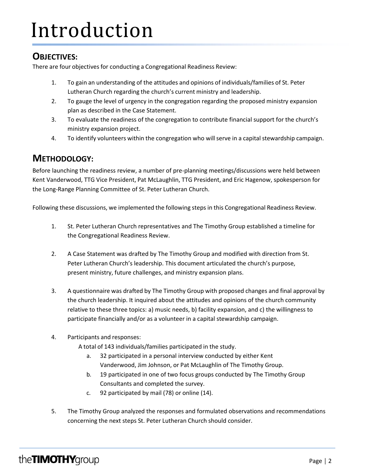# Introduction

## **OBJECTIVES:**

There are four objectives for conducting a Congregational Readiness Review:

- 1. To gain an understanding of the attitudes and opinions of individuals/families of St. Peter Lutheran Church regarding the church's current ministry and leadership.
- 2. To gauge the level of urgency in the congregation regarding the proposed ministry expansion plan as described in the Case Statement.
- 3. To evaluate the readiness of the congregation to contribute financial support for the church's ministry expansion project.
- 4. To identify volunteers within the congregation who will serve in a capital stewardship campaign.

## **METHODOLOGY:**

Before launching the readiness review, a number of pre-planning meetings/discussions were held between Kent Vanderwood, TTG Vice President, Pat McLaughlin, TTG President, and Eric Hagenow, spokesperson for the Long-Range Planning Committee of St. Peter Lutheran Church.

Following these discussions, we implemented the following steps in this Congregational Readiness Review.

- 1. St. Peter Lutheran Church representatives and The Timothy Group established a timeline for the Congregational Readiness Review.
- 2. A Case Statement was drafted by The Timothy Group and modified with direction from St. Peter Lutheran Church's leadership. This document articulated the church's purpose, present ministry, future challenges, and ministry expansion plans.
- 3. A questionnaire was drafted by The Timothy Group with proposed changes and final approval by the church leadership. It inquired about the attitudes and opinions of the church community relative to these three topics: a) music needs, b) facility expansion, and c) the willingness to participate financially and/or as a volunteer in a capital stewardship campaign.
- 4. Participants and responses:

A total of 143 individuals/families participated in the study.

- a. 32 participated in a personal interview conducted by either Kent Vanderwood, Jim Johnson, or Pat McLaughlin of The Timothy Group.
- b. 19 participated in one of two focus groups conducted by The Timothy Group Consultants and completed the survey.
- c. 92 participated by mail (78) or online (14).
- 5. The Timothy Group analyzed the responses and formulated observations and recommendations concerning the next steps St. Peter Lutheran Church should consider.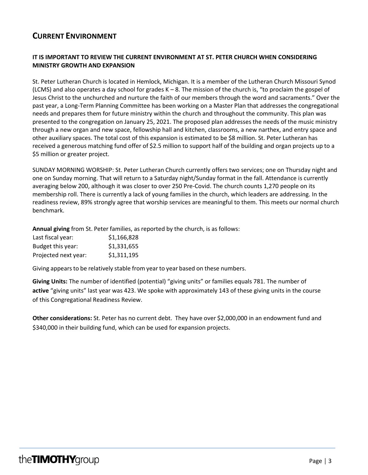## **CURRENT ENVIRONMENT**

### **IT IS IMPORTANT TO REVIEW THE CURRENT ENVIRONMENT AT ST. PETER CHURCH WHEN CONSIDERING MINISTRY GROWTH AND EXPANSION**

St. Peter Lutheran Church is located in Hemlock, Michigan. It is a member of the Lutheran Church Missouri Synod (LCMS) and also operates a day school for grades  $K - 8$ . The mission of the church is, "to proclaim the gospel of Jesus Christ to the unchurched and nurture the faith of our members through the word and sacraments." Over the past year, a Long-Term Planning Committee has been working on a Master Plan that addresses the congregational needs and prepares them for future ministry within the church and throughout the community. This plan was presented to the congregation on January 25, 2021. The proposed plan addresses the needs of the music ministry through a new organ and new space, fellowship hall and kitchen, classrooms, a new narthex, and entry space and other auxiliary spaces. The total cost of this expansion is estimated to be \$8 million. St. Peter Lutheran has received a generous matching fund offer of \$2.5 million to support half of the building and organ projects up to a \$5 million or greater project.

SUNDAY MORNING WORSHIP: St. Peter Lutheran Church currently offers two services; one on Thursday night and one on Sunday morning. That will return to a Saturday night/Sunday format in the fall. Attendance is currently averaging below 200, although it was closer to over 250 Pre-Covid. The church counts 1,270 people on its membership roll. There is currently a lack of young families in the church, which leaders are addressing. In the readiness review, 89% strongly agree that worship services are meaningful to them. This meets our normal church benchmark.

**Annual giving** from St. Peter families, as reported by the church, is as follows:

| Last fiscal year:    | \$1,166,828 |
|----------------------|-------------|
| Budget this year:    | \$1,331,655 |
| Projected next year: | \$1,311,195 |

Giving appears to be relatively stable from year to year based on these numbers.

**Giving Units:** The number of identified (potential) "giving units" or families equals 781. The number of **active** "giving units" last year was 423. We spoke with approximately 143 of these giving units in the course of this Congregational Readiness Review.

**Other considerations:** St. Peter has no current debt. They have over \$2,000,000 in an endowment fund and \$340,000 in their building fund, which can be used for expansion projects.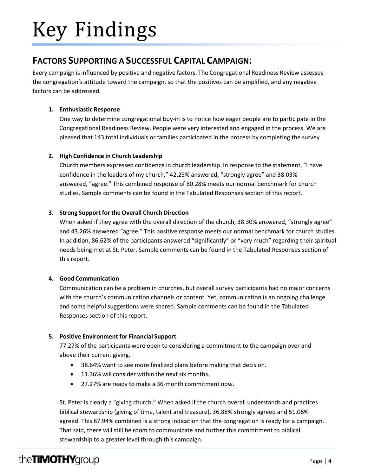# Key Findings

## **FACTORS SUPPORTING A SUCCESSFUL CAPITAL CAMPAIGN:**

Every campaign is influenced by positive and negative factors. The Congregational Readiness Review assesses the congregation's attitude toward the campaign, so that the positives can be amplified, and any negative factors can be addressed.

### **1. Enthusiastic Response**

One way to determine congregational buy-in is to notice how eager people are to participate in the Congregational Readiness Review. People were very interested and engaged in the process. We are pleased that 143 total individuals or families participated in the process by completing the survey

## **2. High Confidence in Church Leadership**

Church members expressed confidence in church leadership. In response to the statement, "I have confidence in the leaders of my church," 42.25% answered, "strongly agree" and 38.03% answered, "agree." This combined response of 80.28% meets our normal benchmark for church studies. Sample comments can be found in the Tabulated Responses section of this report.

### **3. Strong Support for the Overall Church Direction**

When asked if they agree with the overall direction of the church, 38.30% answered, "strongly agree" and 43.26% answered "agree." This positive response meets our normal benchmark for church studies. In addition, 86.62% of the participants answered "significantly" or "very much" regarding their spiritual needs being met at St. Peter. Sample comments can be found in the Tabulated Responses section of this report.

### **4. Good Communication**

Communication can be a problem in churches, but overall survey participants had no major concerns with the church's communication channels or content. Yet, communication is an ongoing challenge and some helpful suggestions were shared. Sample comments can be found in the Tabulated Responses section of this report.

## **5. Positive Environment for Financial Support**

77.27% of the participants were open to considering a commitment to the campaign over and above their current giving.

- 38.64% want to see more finalized plans before making that decision.
- 11.36% will consider within the next six months.
- 27.27% are ready to make a 36-month commitment now.

St. Peter is clearly a "giving church." When asked if the church overall understands and practices biblical stewardship (giving of time, talent and treasure), 36.88% strongly agreed and 51.06% agreed. This 87.94% combined is a strong indication that the congregation is ready for a campaign. That said, there will still be room to communicate and further this commitment to biblical stewardship to a greater level through this campaign.

# theTIMOTHYgroup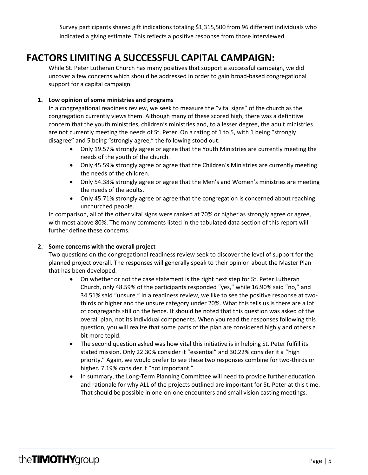Survey participants shared gift indications totaling \$1,315,500 from 96 different individuals who indicated a giving estimate. This reflects a positive response from those interviewed.

## **FACTORS LIMITING A SUCCESSFUL CAPITAL CAMPAIGN:**

While St. Peter Lutheran Church has many positives that support a successful campaign, we did uncover a few concerns which should be addressed in order to gain broad-based congregational support for a capital campaign.

### **1. Low opinion of some ministries and programs**

In a congregational readiness review, we seek to measure the "vital signs" of the church as the congregation currently views them. Although many of these scored high, there was a definitive concern that the youth ministries, children's ministries and, to a lesser degree, the adult ministries are not currently meeting the needs of St. Peter. On a rating of 1 to 5, with 1 being "strongly disagree" and 5 being "strongly agree," the following stood out:

- Only 19.57% strongly agree or agree that the Youth Ministries are currently meeting the needs of the youth of the church.
- Only 45.59% strongly agree or agree that the Children's Ministries are currently meeting the needs of the children.
- Only 54.38% strongly agree or agree that the Men's and Women's ministries are meeting the needs of the adults.
- Only 45.71% strongly agree or agree that the congregation is concerned about reaching unchurched people.

In comparison, all of the other vital signs were ranked at 70% or higher as strongly agree or agree, with most above 80%. The many comments listed in the tabulated data section of this report will further define these concerns.

### **2. Some concerns with the overall project**

Two questions on the congregational readiness review seek to discover the level of support for the planned project overall. The responses will generally speak to their opinion about the Master Plan that has been developed.

- On whether or not the case statement is the right next step for St. Peter Lutheran Church, only 48.59% of the participants responded "yes," while 16.90% said "no," and 34.51% said "unsure." In a readiness review, we like to see the positive response at twothirds or higher and the unsure category under 20%. What this tells us is there are a lot of congregants still on the fence. It should be noted that this question was asked of the overall plan, not its individual components. When you read the responses following this question, you will realize that some parts of the plan are considered highly and others a bit more tepid.
- The second question asked was how vital this initiative is in helping St. Peter fulfill its stated mission. Only 22.30% consider it "essential" and 30.22% consider it a "high priority." Again, we would prefer to see these two responses combine for two-thirds or higher. 7.19% consider it "not important."
- In summary, the Long-Term Planning Committee will need to provide further education and rationale for why ALL of the projects outlined are important for St. Peter at this time. That should be possible in one-on-one encounters and small vision casting meetings.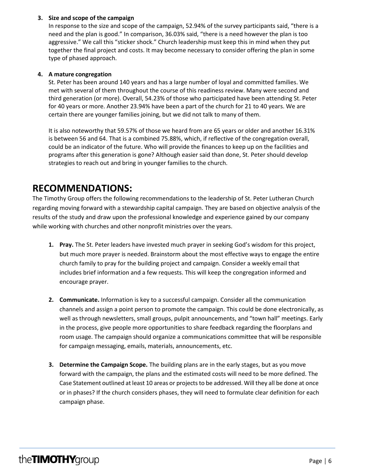#### **3. Size and scope of the campaign**

In response to the size and scope of the campaign, 52.94% of the survey participants said, "there is a need and the plan is good." In comparison, 36.03% said, "there is a need however the plan is too aggressive." We call this "sticker shock." Church leadership must keep this in mind when they put together the final project and costs. It may become necessary to consider offering the plan in some type of phased approach.

#### **4. A mature congregation**

St. Peter has been around 140 years and has a large number of loyal and committed families. We met with several of them throughout the course of this readiness review. Many were second and third generation (or more). Overall, 54.23% of those who participated have been attending St. Peter for 40 years or more. Another 23.94% have been a part of the church for 21 to 40 years. We are certain there are younger families joining, but we did not talk to many of them.

It is also noteworthy that 59.57% of those we heard from are 65 years or older and another 16.31% is between 56 and 64. That is a combined 75.88%, which, if reflective of the congregation overall, could be an indicator of the future. Who will provide the finances to keep up on the facilities and programs after this generation is gone? Although easier said than done, St. Peter should develop strategies to reach out and bring in younger families to the church.

## **RECOMMENDATIONS:**

The Timothy Group offers the following recommendations to the leadership of St. Peter Lutheran Church regarding moving forward with a stewardship capital campaign. They are based on objective analysis of the results of the study and draw upon the professional knowledge and experience gained by our company while working with churches and other nonprofit ministries over the years.

- **1. Pray.** The St. Peter leaders have invested much prayer in seeking God's wisdom for this project, but much more prayer is needed. Brainstorm about the most effective ways to engage the entire church family to pray for the building project and campaign. Consider a weekly email that includes brief information and a few requests. This will keep the congregation informed and encourage prayer.
- **2. Communicate.** Information is key to a successful campaign. Consider all the communication channels and assign a point person to promote the campaign. This could be done electronically, as well as through newsletters, small groups, pulpit announcements, and "town hall" meetings. Early in the process, give people more opportunities to share feedback regarding the floorplans and room usage. The campaign should organize a communications committee that will be responsible for campaign messaging, emails, materials, announcements, etc.
- **3. Determine the Campaign Scope.** The building plans are in the early stages, but as you move forward with the campaign, the plans and the estimated costs will need to be more defined. The Case Statement outlined at least 10 areas or projectsto be addressed. Will they all be done at once or in phases? If the church considers phases, they will need to formulate clear definition for each campaign phase.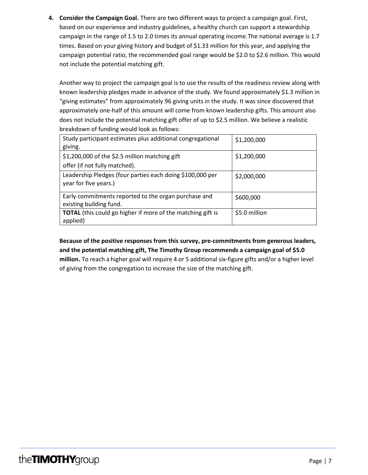**4. Consider the Campaign Goal.** There are two different ways to project a campaign goal. First, based on our experience and industry guidelines, a healthy church can support a stewardship campaign in the range of 1.5 to 2.0 times its annual operating income.The national average is 1.7 times. Based on your giving history and budget of \$1.33 million for this year, and applying the campaign potential ratio, the recommended goal range would be \$2.0 to \$2.6 million. This would not include the potential matching gift.

Another way to project the campaign goal is to use the results of the readiness review along with known leadership pledges made in advance of the study. We found approximately \$1.3 million in "giving estimates" from approximately 96 giving units in the study. It was since discovered that approximately one-half of this amount will come from known leadership gifts. This amount also does not include the potential matching gift offer of up to \$2.5 million. We believe a realistic breakdown of funding would look as follows:

| Study participant estimates plus additional congregational<br>giving.           | \$1,200,000   |
|---------------------------------------------------------------------------------|---------------|
| \$1,200,000 of the \$2.5 million matching gift<br>offer (if not fully matched). | \$1,200,000   |
| Leadership Pledges (four parties each doing \$100,000 per                       | \$2,000,000   |
| year for five years.)                                                           |               |
| Early commitments reported to the organ purchase and<br>existing building fund. | \$600,000     |
| <b>TOTAL</b> (this could go higher if more of the matching gift is<br>applied)  | \$5.0 million |

**Because of the positive responses from this survey, pre-commitments from generous leaders, and the potential matching gift, The Timothy Group recommends a campaign goal of \$5.0 million.** To reach a higher goal will require 4 or 5 additional six-figure gifts and/or a higher level of giving from the congregation to increase the size of the matching gift.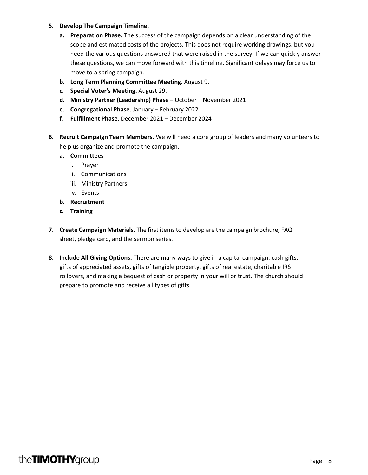#### **5. Develop The Campaign Timeline.**

- **a. Preparation Phase.** The success of the campaign depends on a clear understanding of the scope and estimated costs of the projects. This does not require working drawings, but you need the various questions answered that were raised in the survey. If we can quickly answer these questions, we can move forward with this timeline. Significant delays may force us to move to a spring campaign.
- **b. Long Term Planning Committee Meeting.** August 9.
- **c. Special Voter's Meeting.** August 29.
- **d. Ministry Partner (Leadership) Phase –** October November 2021
- **e. Congregational Phase.** January February 2022
- **f. Fulfillment Phase.** December 2021 December 2024
- **6. Recruit Campaign Team Members.** We will need a core group of leaders and many volunteers to help us organize and promote the campaign.
	- **a. Committees**
		- i. Prayer
		- ii. Communications
		- iii. Ministry Partners
		- iv. Events
	- **b. Recruitment**
	- **c. Training**
- **7. Create Campaign Materials.** The first itemsto develop are the campaign brochure, FAQ sheet, pledge card, and the sermon series.
- **8. Include All Giving Options.** There are many ways to give in a capital campaign: cash gifts, gifts of appreciated assets, gifts of tangible property, gifts of real estate, charitable IRS rollovers, and making a bequest of cash or property in your will or trust. The church should prepare to promote and receive all types of gifts.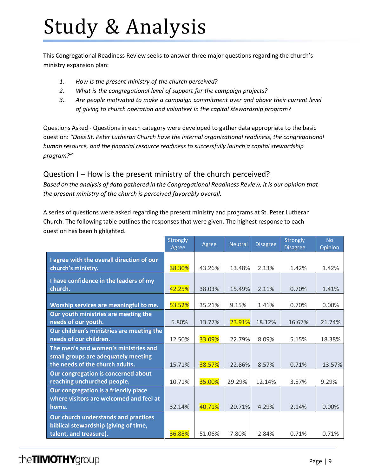# Study & Analysis

This Congregational Readiness Review seeks to answer three major questions regarding the church's ministry expansion plan:

- *1. How is the present ministry of the church perceived?*
- *2. What is the congregational level of support for the campaign projects?*
- *3. Are people motivated to make a campaign commitment over and above their current level of giving to church operation and volunteer in the capital stewardship program?*

Questions Asked - Questions in each category were developed to gather data appropriate to the basic question: *"Does St. Peter Lutheran Church have the internal organizational readiness, the congregational human resource, and the financial resource readiness to successfully launch a capital stewardship program?"*

## Question I – How is the present ministry of the church perceived?

*Based on the analysis of data gathered in the Congregational Readiness Review, it is our opinion that the present ministry of the church is perceived favorably overall.*

A series of questions were asked regarding the present ministry and programs at St. Peter Lutheran Church. The following table outlines the responses that were given. The highest response to each question has been highlighted.

|                                                                                 | Strongly<br>Agree | Agree  | <b>Neutral</b> | <b>Disagree</b> | Strongly<br><b>Disagree</b> | <b>No</b><br>Opinion |
|---------------------------------------------------------------------------------|-------------------|--------|----------------|-----------------|-----------------------------|----------------------|
| I agree with the overall direction of our<br>church's ministry.                 | 38.30%            | 43.26% | 13.48%         | 2.13%           | 1.42%                       | 1.42%                |
| I have confidence in the leaders of my<br>church.                               | 42.25%            | 38.03% | 15.49%         | 2.11%           | 0.70%                       | 1.41%                |
| Worship services are meaningful to me.                                          | 53.52%            | 35.21% | 9.15%          | 1.41%           | 0.70%                       | 0.00%                |
| Our youth ministries are meeting the<br>needs of our youth.                     | 5.80%             | 13.77% | 23.91%         | 18.12%          | 16.67%                      | 21.74%               |
| Our children's ministries are meeting the<br>needs of our children.             | 12.50%            | 33.09% | 22.79%         | 8.09%           | 5.15%                       | 18.38%               |
| The men's and women's ministries and<br>small groups are adequately meeting     |                   |        |                |                 |                             |                      |
| the needs of the church adults.                                                 | 15.71%            | 38.57% | 22.86%         | 8.57%           | 0.71%                       | 13.57%               |
| Our congregation is concerned about<br>reaching unchurched people.              | 10.71%            | 35.00% | 29.29%         | 12.14%          | 3.57%                       | 9.29%                |
| Our congregation is a friendly place<br>where visitors are welcomed and feel at |                   |        |                |                 |                             |                      |
| home.                                                                           | 32.14%            | 40.71% | 20.71%         | 4.29%           | 2.14%                       | 0.00%                |
| Our church understands and practices<br>biblical stewardship (giving of time,   |                   |        |                |                 |                             |                      |
| talent, and treasure).                                                          | 36.88%            | 51.06% | 7.80%          | 2.84%           | 0.71%                       | 0.71%                |

# the TIMOTHY group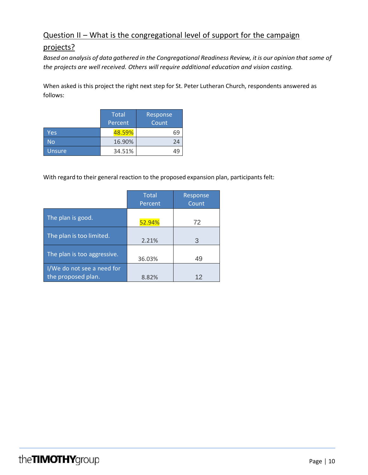## Question II – What is the congregational level of support for the campaign

## projects?

*Based on analysis of data gathered in the Congregational Readiness Review, itis our opinion that some of the projects are well received. Others will require additional education and vision casting.*

When asked is this project the right next step for St. Peter Lutheran Church, respondents answered as follows:

|               | <b>Total</b><br>Percent | Response<br>Count |
|---------------|-------------------------|-------------------|
| Yes           | 48.59%                  | 69                |
| No            | 16.90%                  | 24                |
| <b>Unsure</b> | 34.51%                  |                   |

With regard to their general reaction to the proposed expansion plan, participants felt:

|                                                  | <b>Total</b><br>Percent | Response<br>Count |
|--------------------------------------------------|-------------------------|-------------------|
| The plan is good.                                | 52.94%                  | 72                |
| The plan is too limited.                         | 2.21%                   | 3                 |
| The plan is too aggressive.                      | 36.03%                  | 49                |
| I/We do not see a need for<br>the proposed plan. | 8.82%                   | 12                |